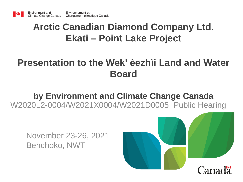### **Arctic Canadian Diamond Company Ltd. Ekati – Point Lake Project**

### **Presentation to the Wek' èezhìi Land and Water Board**

### **by Environment and Climate Change Canada** W2020L2-0004/W2021X0004/W2021D0005 Public Hearing

November 23-26, 2021 Behchoko, NWT

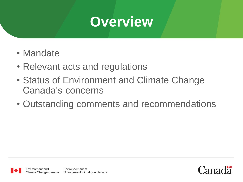# **Overview**

- Mandate
- Relevant acts and regulations
- Status of Environment and Climate Change Canada's concerns
- Outstanding comments and recommendations

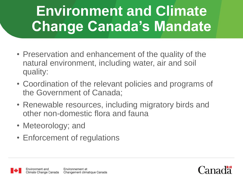# **Environment and Climate Change Canada's Mandate**

- Preservation and enhancement of the quality of the natural environment, including water, air and soil quality:
- Coordination of the relevant policies and programs of the Government of Canada;
- Renewable resources, including migratory birds and other non-domestic flora and fauna
- Meteorology; and
- Enforcement of regulations



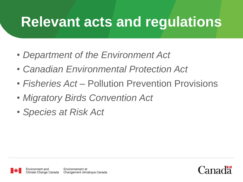# **Relevant acts and regulations**

- *Department of the Environment Act*
- *Canadian Environmental Protection Act*
- *Fisheries Act* Pollution Prevention Provisions
- *Migratory Birds Convention Act*
- *Species at Risk Act*

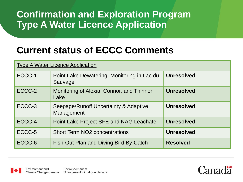### **Confirmation and Exploration Program Type A Water Licence Application**

### **Current status of ECCC Comments**

| <b>Type A Water Licence Application</b> |                                                       |                   |
|-----------------------------------------|-------------------------------------------------------|-------------------|
| ECCC-1                                  | Point Lake Dewatering–Monitoring in Lac du<br>Sauvage | <b>Unresolved</b> |
| ECCC-2                                  | Monitoring of Alexia, Connor, and Thinner<br>Lake     | <b>Unresolved</b> |
| ECCC-3                                  | Seepage/Runoff Uncertainty & Adaptive<br>Management   | <b>Unresolved</b> |
| ECCC-4                                  | Point Lake Project SFE and NAG Leachate               | <b>Unresolved</b> |
| ECCC-5                                  | <b>Short Term NO2 concentrations</b>                  | <b>Unresolved</b> |
| ECCC-6                                  | Fish-Out Plan and Diving Bird By-Catch                | <b>Resolved</b>   |



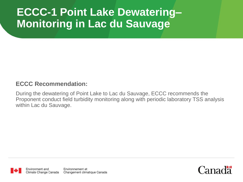# **ECCC-1 Point Lake Dewatering– Monitoring in Lac du Sauvage**

#### **ECCC Recommendation:**

During the dewatering of Point Lake to Lac du Sauvage, ECCC recommends the Proponent conduct field turbidity monitoring along with periodic laboratory TSS analysis within Lac du Sauvage.



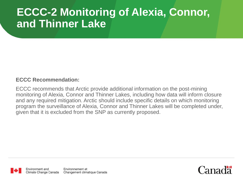## **ECCC-2 Monitoring of Alexia, Connor, and Thinner Lake**

#### **ECCC Recommendation:**

ECCC recommends that Arctic provide additional information on the post-mining monitoring of Alexia, Connor and Thinner Lakes, including how data will inform closure and any required mitigation. Arctic should include specific details on which monitoring program the surveillance of Alexia, Connor and Thinner Lakes will be completed under, given that it is excluded from the SNP as currently proposed.



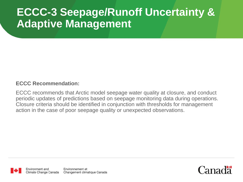## **ECCC-3 Seepage/Runoff Uncertainty & Adaptive Management**

#### **ECCC Recommendation:**

ECCC recommends that Arctic model seepage water quality at closure, and conduct periodic updates of predictions based on seepage monitoring data during operations. Closure criteria should be identified in conjunction with thresholds for management action in the case of poor seepage quality or unexpected observations.



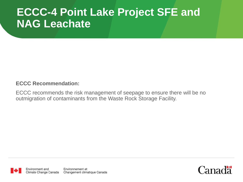## **ECCC-4 Point Lake Project SFE and NAG Leachate**

#### **ECCC Recommendation:**

ECCC recommends the risk management of seepage to ensure there will be no outmigration of contaminants from the Waste Rock Storage Facility.



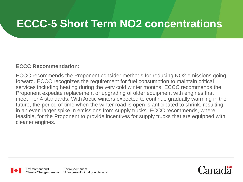## **ECCC-5 Short Term NO2 concentrations**

#### **ECCC Recommendation:**

ECCC recommends the Proponent consider methods for reducing NO2 emissions going forward. ECCC recognizes the requirement for fuel consumption to maintain critical services including heating during the very cold winter months. ECCC recommends the Proponent expedite replacement or upgrading of older equipment with engines that meet Tier 4 standards. With Arctic winters expected to continue gradually warming in the future, the period of time when the winter road is open is anticipated to shrink, resulting in an even larger spike in emissions from supply trucks. ECCC recommends, where feasible, for the Proponent to provide incentives for supply trucks that are equipped with cleaner engines.